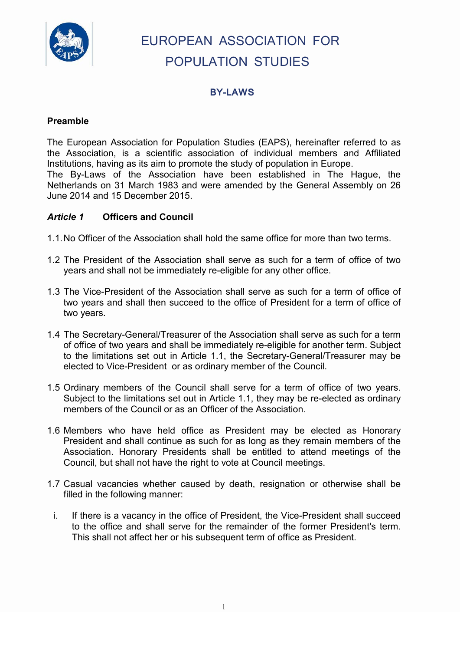

# EUROPEAN ASSOCIATION FOR POPULATION STUDIES

## **BY-LAWS**

## **Preamble**

The European Association for Population Studies (EAPS), hereinafter referred to as the Association, is a scientific association of individual members and Affiliated Institutions, having as its aim to promote the study of population in Europe. The By-Laws of the Association have been established in The Hague, the Netherlands on 31 March 1983 and were amended by the General Assembly on 26 June 2014 and 15 December 2015.

### *Article 1* **Officers and Council**

- 1.1.No Officer of the Association shall hold the same office for more than two terms.
- 1.2 The President of the Association shall serve as such for a term of office of two years and shall not be immediately re-eligible for any other office.
- 1.3 The Vice-President of the Association shall serve as such for a term of office of two years and shall then succeed to the office of President for a term of office of two years.
- 1.4 The Secretary-General/Treasurer of the Association shall serve as such for a term of office of two years and shall be immediately re-eligible for another term. Subject to the limitations set out in Article 1.1, the Secretary-General/Treasurer may be elected to Vice-President or as ordinary member of the Council.
- 1.5 Ordinary members of the Council shall serve for a term of office of two years. Subject to the limitations set out in Article 1.1, they may be re-elected as ordinary members of the Council or as an Officer of the Association.
- 1.6 Members who have held office as President may be elected as Honorary President and shall continue as such for as long as they remain members of the Association. Honorary Presidents shall be entitled to attend meetings of the Council, but shall not have the right to vote at Council meetings.
- 1.7 Casual vacancies whether caused by death, resignation or otherwise shall be filled in the following manner:
- i. If there is a vacancy in the office of President, the Vice-President shall succeed to the office and shall serve for the remainder of the former President's term. This shall not affect her or his subsequent term of office as President.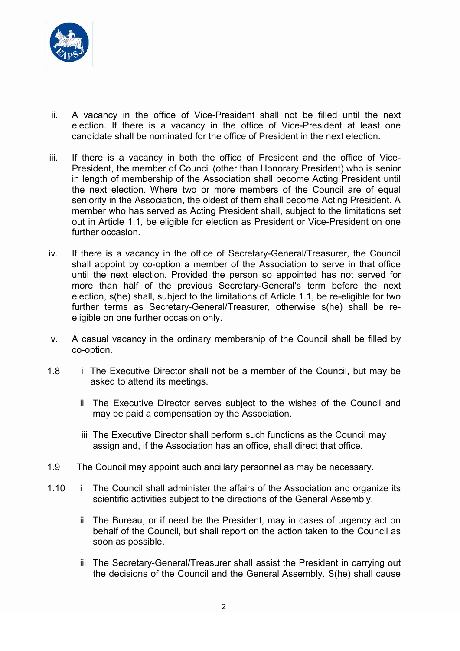

- ii. A vacancy in the office of Vice-President shall not be filled until the next election. If there is a vacancy in the office of Vice-President at least one candidate shall be nominated for the office of President in the next election.
- iii. If there is a vacancy in both the office of President and the office of Vice-President, the member of Council (other than Honorary President) who is senior in length of membership of the Association shall become Acting President until the next election. Where two or more members of the Council are of equal seniority in the Association, the oldest of them shall become Acting President. A member who has served as Acting President shall, subject to the limitations set out in Article 1.1, be eligible for election as President or Vice-President on one further occasion.
- iv. If there is a vacancy in the office of Secretary-General/Treasurer, the Council shall appoint by co-option a member of the Association to serve in that office until the next election. Provided the person so appointed has not served for more than half of the previous Secretary-General's term before the next election, s(he) shall, subject to the limitations of Article 1.1, be re-eligible for two further terms as Secretary-General/Treasurer, otherwise s(he) shall be reeligible on one further occasion only.
- v. A casual vacancy in the ordinary membership of the Council shall be filled by co-option.
- 1.8 i The Executive Director shall not be a member of the Council, but may be asked to attend its meetings.
	- ii The Executive Director serves subject to the wishes of the Council and may be paid a compensation by the Association.
	- iii The Executive Director shall perform such functions as the Council may assign and, if the Association has an office, shall direct that office.
- 1.9 The Council may appoint such ancillary personnel as may be necessary.
- 1.10 i The Council shall administer the affairs of the Association and organize its scientific activities subject to the directions of the General Assembly.
	- ii The Bureau, or if need be the President, may in cases of urgency act on behalf of the Council, but shall report on the action taken to the Council as soon as possible.
	- iii The Secretary-General/Treasurer shall assist the President in carrying out the decisions of the Council and the General Assembly. S(he) shall cause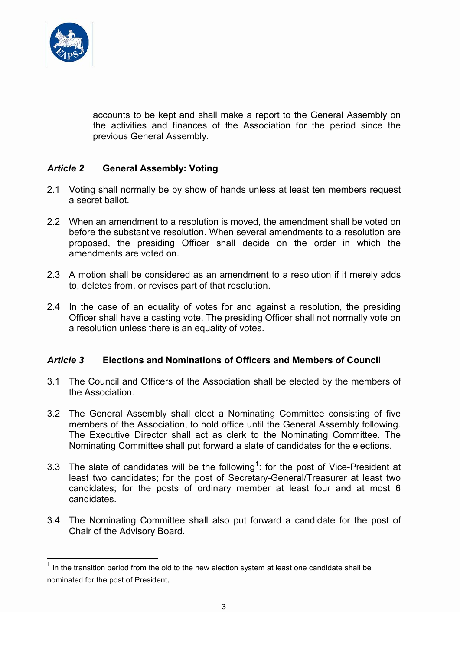

accounts to be kept and shall make a report to the General Assembly on the activities and finances of the Association for the period since the previous General Assembly.

## *Article 2* **General Assembly: Voting**

- 2.1 Voting shall normally be by show of hands unless at least ten members request a secret ballot.
- 2.2 When an amendment to a resolution is moved, the amendment shall be voted on before the substantive resolution. When several amendments to a resolution are proposed, the presiding Officer shall decide on the order in which the amendments are voted on.
- 2.3 A motion shall be considered as an amendment to a resolution if it merely adds to, deletes from, or revises part of that resolution.
- 2.4 In the case of an equality of votes for and against a resolution, the presiding Officer shall have a casting vote. The presiding Officer shall not normally vote on a resolution unless there is an equality of votes.

## *Article 3* **Elections and Nominations of Officers and Members of Council**

- 3.1 The Council and Officers of the Association shall be elected by the members of the Association.
- 3.2 The General Assembly shall elect a Nominating Committee consisting of five members of the Association, to hold office until the General Assembly following. The Executive Director shall act as clerk to the Nominating Committee. The Nominating Committee shall put forward a slate of candidates for the elections.
- 3.3 The slate of candidates will be the following<sup>[1](#page-2-0)</sup>: for the post of Vice-President at least two candidates; for the post of Secretary-General/Treasurer at least two candidates; for the posts of ordinary member at least four and at most 6 candidates.
- 3.4 The Nominating Committee shall also put forward a candidate for the post of Chair of the Advisory Board.

<span id="page-2-0"></span> $1$  In the transition period from the old to the new election system at least one candidate shall be nominated for the post of President.